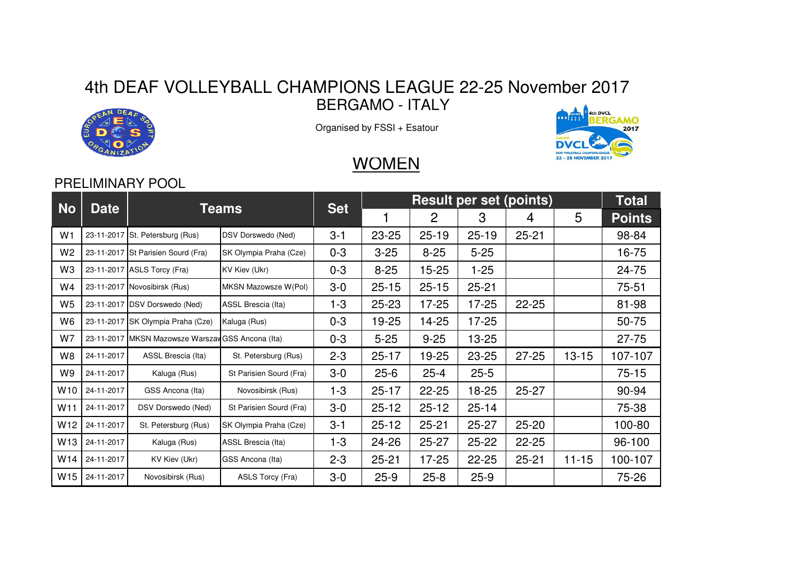## 4th DEAF VOLLEYBALL CHAMPIONS LEAGUE 22-25 November 2017BERGAMO - ITALY



Organised by FSSI + Esatour



## **WOMEN**

## PRELIMINARY POOL

| <b>No</b>       | <b>Date</b> | Teams                                             |                           | <b>Set</b> | <b>Result per set (points)</b> |           |           |           |           | Total         |
|-----------------|-------------|---------------------------------------------------|---------------------------|------------|--------------------------------|-----------|-----------|-----------|-----------|---------------|
|                 |             |                                                   |                           |            |                                | 2         | 3         | 4         | 5         | <b>Points</b> |
| W <sub>1</sub>  |             | 23-11-2017 St. Petersburg (Rus)                   | <b>DSV Dorswedo (Ned)</b> | $3 - 1$    | 23-25                          | $25 - 19$ | $25 - 19$ | $25 - 21$ |           | 98-84         |
| W <sub>2</sub>  |             | 23-11-2017 St Parisien Sourd (Fra)                | SK Olympia Praha (Cze)    | $0 - 3$    | $3 - 25$                       | $8 - 25$  | $5 - 25$  |           |           | 16-75         |
| W3              |             | 23-11-2017 ASLS Torcy (Fra)                       | KV Kiev (Ukr)             | $0 - 3$    | $8 - 25$                       | $15 - 25$ | 1-25      |           |           | 24-75         |
| W4              |             | 23-11-2017 Novosibirsk (Rus)                      | MKSN Mazowsze W(Pol)      | $3-0$      | $25 - 15$                      | $25 - 15$ | $25 - 21$ |           |           | $75 - 51$     |
| W <sub>5</sub>  |             | 23-11-2017 DSV Dorswedo (Ned)                     | ASSL Brescia (Ita)        | $1 - 3$    | $25 - 23$                      | $17 - 25$ | $17 - 25$ | $22 - 25$ |           | 81-98         |
| W6              |             | 23-11-2017 SK Olympia Praha (Cze)                 | Kaluga (Rus)              | $0 - 3$    | 19-25                          | 14-25     | $17 - 25$ |           |           | 50-75         |
| W7              |             | 23-11-2017 MKSN Mazowsze Warszaw GSS Ancona (Ita) |                           | $0 - 3$    | $5 - 25$                       | $9 - 25$  | $13 - 25$ |           |           | $27 - 75$     |
| W8              | 24-11-2017  | ASSL Brescia (Ita)                                | St. Petersburg (Rus)      | $2 - 3$    | $25 - 17$                      | 19-25     | $23 - 25$ | $27 - 25$ | $13 - 15$ | 107-107       |
| W9              | 24-11-2017  | Kaluga (Rus)                                      | St Parisien Sourd (Fra)   | $3-0$      | $25 - 6$                       | $25 - 4$  | $25 - 5$  |           |           | $75 - 15$     |
| W10             | 24-11-2017  | GSS Ancona (Ita)                                  | Novosibirsk (Rus)         | $1 - 3$    | $25 - 17$                      | $22 - 25$ | 18-25     | $25 - 27$ |           | 90-94         |
| W <sub>11</sub> | 24-11-2017  | DSV Dorswedo (Ned)                                | St Parisien Sourd (Fra)   | $3-0$      | $25 - 12$                      | $25 - 12$ | $25 - 14$ |           |           | 75-38         |
| W12             | 24-11-2017  | St. Petersburg (Rus)                              | SK Olympia Praha (Cze)    | $3 - 1$    | $25 - 12$                      | $25 - 21$ | $25 - 27$ | $25 - 20$ |           | 100-80        |
| W <sub>13</sub> | 24-11-2017  | Kaluga (Rus)                                      | ASSL Brescia (Ita)        | $1 - 3$    | 24-26                          | $25 - 27$ | $25 - 22$ | $22 - 25$ |           | 96-100        |
| W14             | 24-11-2017  | KV Kiev (Ukr)                                     | GSS Ancona (Ita)          | $2 - 3$    | $25 - 21$                      | $17 - 25$ | $22 - 25$ | $25 - 21$ | $11 - 15$ | 100-107       |
| W <sub>15</sub> | 24-11-2017  | Novosibirsk (Rus)                                 | ASLS Torcy (Fra)          | $3-0$      | $25-9$                         | $25 - 8$  | $25-9$    |           |           | 75-26         |